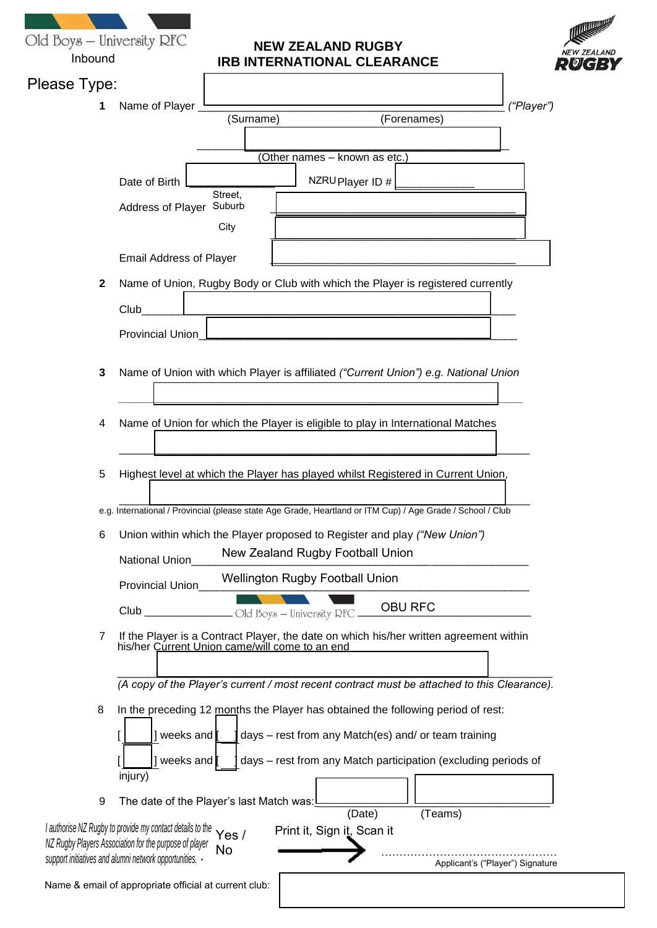| Old Boys - University RFC<br>Inbound | <b>NEW ZEALAND RUGBY</b><br>NEW ZEALAND<br><b>IRB INTERNATIONAL CLEARANCE</b>                                                                                                                                                                                                        |  |  |
|--------------------------------------|--------------------------------------------------------------------------------------------------------------------------------------------------------------------------------------------------------------------------------------------------------------------------------------|--|--|
| Please Type:                         |                                                                                                                                                                                                                                                                                      |  |  |
| 1                                    | Name of Player<br>("Player")<br>(Surname)<br>(Forenames)                                                                                                                                                                                                                             |  |  |
|                                      | (Other names - known as etc.)<br>Date of Birth<br>NZRU Player ID #<br>Street.<br>Suburb<br>Address of Player<br>City                                                                                                                                                                 |  |  |
|                                      | <b>Email Address of Player</b>                                                                                                                                                                                                                                                       |  |  |
| $\mathbf{2}$                         | Name of Union, Rugby Body or Club with which the Player is registered currently                                                                                                                                                                                                      |  |  |
|                                      | Club                                                                                                                                                                                                                                                                                 |  |  |
|                                      | <b>Provincial Union</b>                                                                                                                                                                                                                                                              |  |  |
|                                      |                                                                                                                                                                                                                                                                                      |  |  |
| 3                                    | Name of Union with which Player is affiliated ("Current Union") e.g. National Union                                                                                                                                                                                                  |  |  |
| 4                                    | Name of Union for which the Player is eligible to play in International Matches                                                                                                                                                                                                      |  |  |
| 5                                    | Highest level at which the Player has played whilst Registered in Current Union,                                                                                                                                                                                                     |  |  |
|                                      | e.g. International / Provincial (please state Age Grade, Heartland or ITM Cup) / Age Grade / School / Club                                                                                                                                                                           |  |  |
| 6                                    | Union within which the Player proposed to Register and play ("New Union")<br>New Zealand Rugby Football Union<br>National Union                                                                                                                                                      |  |  |
|                                      | <b>Wellington Rugby Football Union</b><br>Provincial Union                                                                                                                                                                                                                           |  |  |
|                                      | <b>OBU RFC</b><br>Club                                                                                                                                                                                                                                                               |  |  |
| 7                                    | If the Player is a Contract Player, the date on which his/her written agreement within<br>his/her Current Union came/will come to an end                                                                                                                                             |  |  |
|                                      | (A copy of the Player's current / most recent contract must be attached to this Clearance).                                                                                                                                                                                          |  |  |
| 8                                    | In the preceding 12 months the Player has obtained the following period of rest:                                                                                                                                                                                                     |  |  |
|                                      | days - rest from any Match(es) and/ or team training<br>weeks and                                                                                                                                                                                                                    |  |  |
|                                      | days - rest from any Match participation (excluding periods of<br>weeks and                                                                                                                                                                                                          |  |  |
|                                      | injury)                                                                                                                                                                                                                                                                              |  |  |
| 9                                    | The date of the Player's last Match was:                                                                                                                                                                                                                                             |  |  |
|                                      | (Date)<br>(Teams)<br>I authorise NZ Rugby to provide my contact details to the<br>Print it, Sign it, Scan it<br>Yes /<br>NZ Rugby Players Association for the purpose of player<br>No<br>support initiatives and alumni network opportunities. -<br>Applicant's ("Player") Signature |  |  |
|                                      | Name & email of appropriate official at current club:                                                                                                                                                                                                                                |  |  |